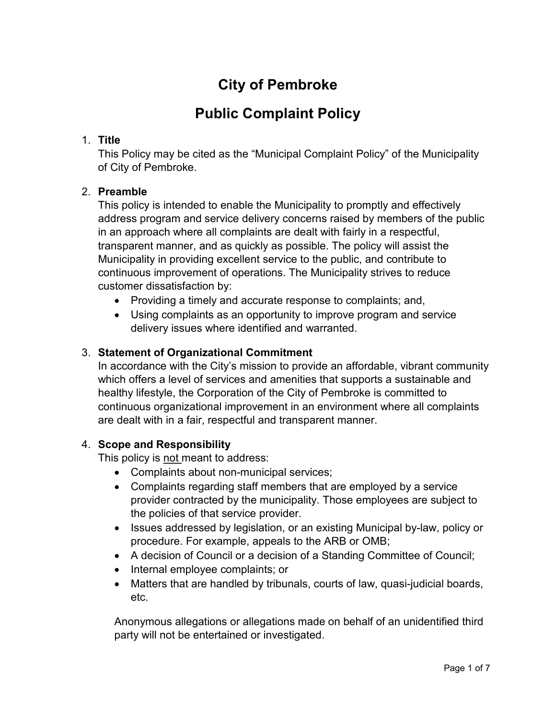# **City of Pembroke**

## **Public Complaint Policy**

## 1. **Title**

This Policy may be cited as the "Municipal Complaint Policy" of the Municipality of City of Pembroke.

## 2. **Preamble**

This policy is intended to enable the Municipality to promptly and effectively address program and service delivery concerns raised by members of the public in an approach where all complaints are dealt with fairly in a respectful, transparent manner, and as quickly as possible. The policy will assist the Municipality in providing excellent service to the public, and contribute to continuous improvement of operations. The Municipality strives to reduce customer dissatisfaction by:

- Providing a timely and accurate response to complaints; and,
- Using complaints as an opportunity to improve program and service delivery issues where identified and warranted.

## 3. **Statement of Organizational Commitment**

In accordance with the City's mission to provide an affordable, vibrant community which offers a level of services and amenities that supports a sustainable and healthy lifestyle, the Corporation of the City of Pembroke is committed to continuous organizational improvement in an environment where all complaints are dealt with in a fair, respectful and transparent manner.

#### 4. **Scope and Responsibility**

This policy is not meant to address:

- Complaints about non-municipal services;
- Complaints regarding staff members that are employed by a service provider contracted by the municipality. Those employees are subject to the policies of that service provider.
- Issues addressed by legislation, or an existing Municipal by-law, policy or procedure. For example, appeals to the ARB or OMB;
- A decision of Council or a decision of a Standing Committee of Council;
- Internal employee complaints; or
- Matters that are handled by tribunals, courts of law, quasi-judicial boards, etc.

Anonymous allegations or allegations made on behalf of an unidentified third party will not be entertained or investigated.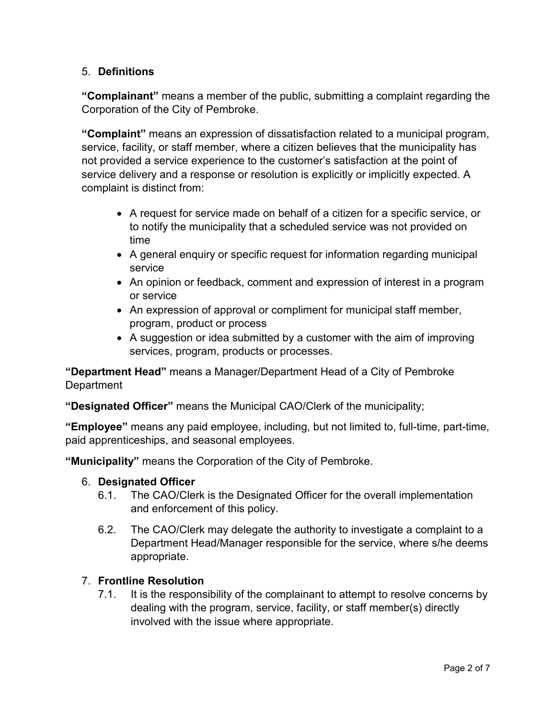## 5. **Definitions**

**"Complainant"** means a member of the public, submitting a complaint regarding the Corporation of the City of Pembroke.

**"Complaint"** means an expression of dissatisfaction related to a municipal program, service, facility, or staff member, where a citizen believes that the municipality has not provided a service experience to the customer's satisfaction at the point of service delivery and a response or resolution is explicitly or implicitly expected. A complaint is distinct from:

- A request for service made on behalf of a citizen for a specific service, or to notify the municipality that a scheduled service was not provided on time
- A general enquiry or specific request for information regarding municipal service
- An opinion or feedback, comment and expression of interest in a program or service
- An expression of approval or compliment for municipal staff member, program, product or process
- A suggestion or idea submitted by a customer with the aim of improving services, program, products or processes.

**"Department Head"** means a Manager/Department Head of a City of Pembroke **Department** 

**"Designated Officer"** means the Municipal CAO/Clerk of the municipality;

**"Employee"** means any paid employee, including, but not limited to, full-time, part-time, paid apprenticeships, and seasonal employees.

**"Municipality"** means the Corporation of the City of Pembroke.

## 6. **Designated Officer**

- 6.1. The CAO/Clerk is the Designated Officer for the overall implementation and enforcement of this policy.
- 6.2. The CAO/Clerk may delegate the authority to investigate a complaint to a Department Head/Manager responsible for the service, where s/he deems appropriate.

## 7. **Frontline Resolution**

7.1. It is the responsibility of the complainant to attempt to resolve concerns by dealing with the program, service, facility, or staff member(s) directly involved with the issue where appropriate.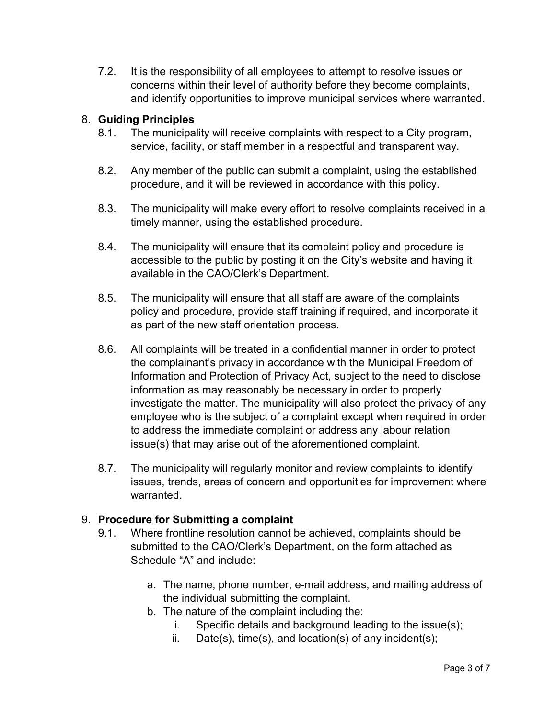7.2. It is the responsibility of all employees to attempt to resolve issues or concerns within their level of authority before they become complaints, and identify opportunities to improve municipal services where warranted.

## 8. **Guiding Principles**

- 8.1. The municipality will receive complaints with respect to a City program, service, facility, or staff member in a respectful and transparent way.
- 8.2. Any member of the public can submit a complaint, using the established procedure, and it will be reviewed in accordance with this policy.
- 8.3. The municipality will make every effort to resolve complaints received in a timely manner, using the established procedure.
- 8.4. The municipality will ensure that its complaint policy and procedure is accessible to the public by posting it on the City's website and having it available in the CAO/Clerk's Department.
- 8.5. The municipality will ensure that all staff are aware of the complaints policy and procedure, provide staff training if required, and incorporate it as part of the new staff orientation process.
- 8.6. All complaints will be treated in a confidential manner in order to protect the complainant's privacy in accordance with the Municipal Freedom of Information and Protection of Privacy Act, subject to the need to disclose information as may reasonably be necessary in order to properly investigate the matter. The municipality will also protect the privacy of any employee who is the subject of a complaint except when required in order to address the immediate complaint or address any labour relation issue(s) that may arise out of the aforementioned complaint.
- 8.7. The municipality will regularly monitor and review complaints to identify issues, trends, areas of concern and opportunities for improvement where warranted.

## 9. **Procedure for Submitting a complaint**

- 9.1. Where frontline resolution cannot be achieved, complaints should be submitted to the CAO/Clerk's Department, on the form attached as Schedule "A" and include:
	- a. The name, phone number, e-mail address, and mailing address of the individual submitting the complaint.
	- b. The nature of the complaint including the:
		- i. Specific details and background leading to the issue(s);
		- ii. Date(s), time(s), and location(s) of any incident(s);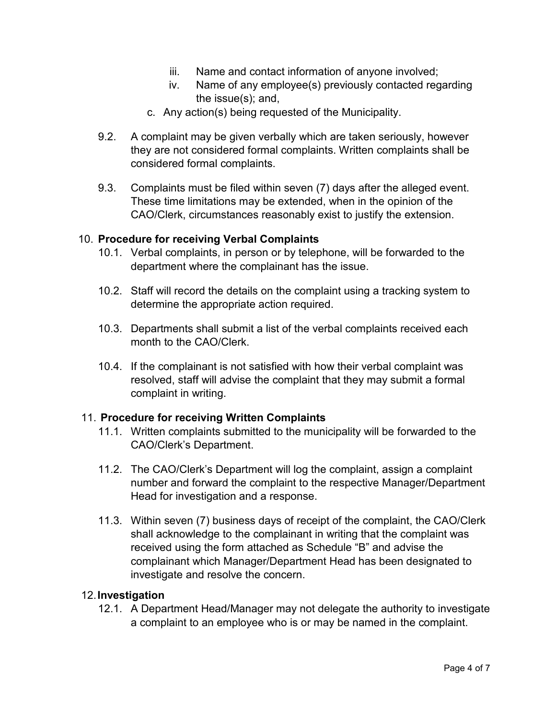- iii. Name and contact information of anyone involved;
- iv. Name of any employee(s) previously contacted regarding the issue(s); and,
- c. Any action(s) being requested of the Municipality.
- 9.2. A complaint may be given verbally which are taken seriously, however they are not considered formal complaints. Written complaints shall be considered formal complaints.
- 9.3. Complaints must be filed within seven (7) days after the alleged event. These time limitations may be extended, when in the opinion of the CAO/Clerk, circumstances reasonably exist to justify the extension.

#### 10. **Procedure for receiving Verbal Complaints**

- 10.1. Verbal complaints, in person or by telephone, will be forwarded to the department where the complainant has the issue.
- 10.2. Staff will record the details on the complaint using a tracking system to determine the appropriate action required.
- 10.3. Departments shall submit a list of the verbal complaints received each month to the CAO/Clerk.
- 10.4. If the complainant is not satisfied with how their verbal complaint was resolved, staff will advise the complaint that they may submit a formal complaint in writing.

#### 11. **Procedure for receiving Written Complaints**

- 11.1. Written complaints submitted to the municipality will be forwarded to the CAO/Clerk's Department.
- 11.2. The CAO/Clerk's Department will log the complaint, assign a complaint number and forward the complaint to the respective Manager/Department Head for investigation and a response.
- 11.3. Within seven (7) business days of receipt of the complaint, the CAO/Clerk shall acknowledge to the complainant in writing that the complaint was received using the form attached as Schedule "B" and advise the complainant which Manager/Department Head has been designated to investigate and resolve the concern.

#### 12. **Investigation**

12.1. A Department Head/Manager may not delegate the authority to investigate a complaint to an employee who is or may be named in the complaint.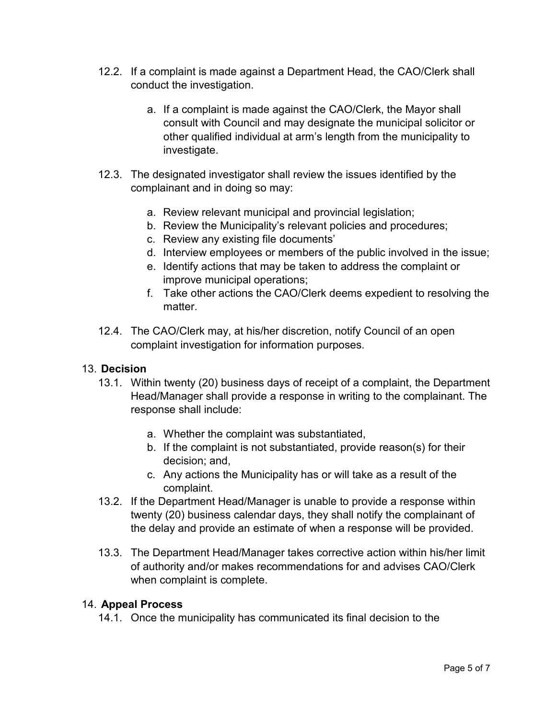- 12.2. If a complaint is made against a Department Head, the CAO/Clerk shall conduct the investigation.
	- a. If a complaint is made against the CAO/Clerk, the Mayor shall consult with Council and may designate the municipal solicitor or other qualified individual at arm's length from the municipality to investigate.
- 12.3. The designated investigator shall review the issues identified by the complainant and in doing so may:
	- a. Review relevant municipal and provincial legislation;
	- b. Review the Municipality's relevant policies and procedures;
	- c. Review any existing file documents'
	- d. Interview employees or members of the public involved in the issue;
	- e. Identify actions that may be taken to address the complaint or improve municipal operations;
	- f. Take other actions the CAO/Clerk deems expedient to resolving the matter.
- 12.4. The CAO/Clerk may, at his/her discretion, notify Council of an open complaint investigation for information purposes.

#### 13. **Decision**

- 13.1. Within twenty (20) business days of receipt of a complaint, the Department Head/Manager shall provide a response in writing to the complainant. The response shall include:
	- a. Whether the complaint was substantiated,
	- b. If the complaint is not substantiated, provide reason(s) for their decision; and,
	- c. Any actions the Municipality has or will take as a result of the complaint.
- 13.2. If the Department Head/Manager is unable to provide a response within twenty (20) business calendar days, they shall notify the complainant of the delay and provide an estimate of when a response will be provided.
- 13.3. The Department Head/Manager takes corrective action within his/her limit of authority and/or makes recommendations for and advises CAO/Clerk when complaint is complete.

#### 14. **Appeal Process**

14.1. Once the municipality has communicated its final decision to the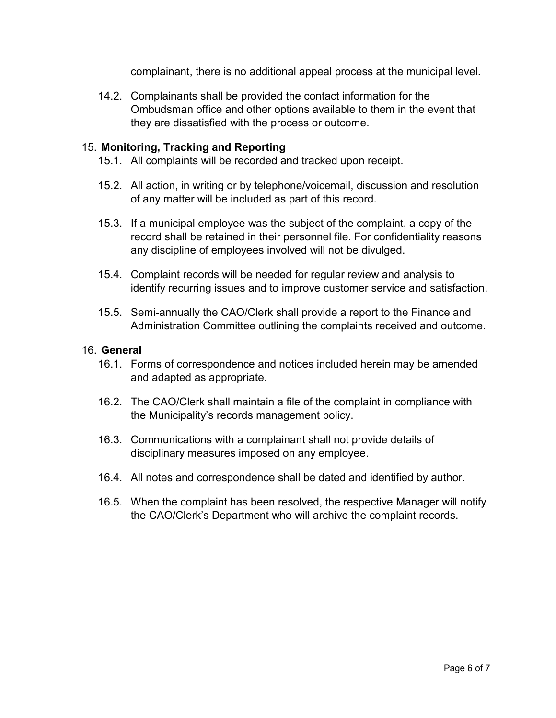complainant, there is no additional appeal process at the municipal level.

14.2. Complainants shall be provided the contact information for the Ombudsman office and other options available to them in the event that they are dissatisfied with the process or outcome.

#### 15. **Monitoring, Tracking and Reporting**

- 15.1. All complaints will be recorded and tracked upon receipt.
- 15.2. All action, in writing or by telephone/voicemail, discussion and resolution of any matter will be included as part of this record.
- 15.3. If a municipal employee was the subject of the complaint, a copy of the record shall be retained in their personnel file. For confidentiality reasons any discipline of employees involved will not be divulged.
- 15.4. Complaint records will be needed for regular review and analysis to identify recurring issues and to improve customer service and satisfaction.
- 15.5. Semi-annually the CAO/Clerk shall provide a report to the Finance and Administration Committee outlining the complaints received and outcome.

#### 16. **General**

- 16.1. Forms of correspondence and notices included herein may be amended and adapted as appropriate.
- 16.2. The CAO/Clerk shall maintain a file of the complaint in compliance with the Municipality's records management policy.
- 16.3. Communications with a complainant shall not provide details of disciplinary measures imposed on any employee.
- 16.4. All notes and correspondence shall be dated and identified by author.
- 16.5. When the complaint has been resolved, the respective Manager will notify the CAO/Clerk's Department who will archive the complaint records.